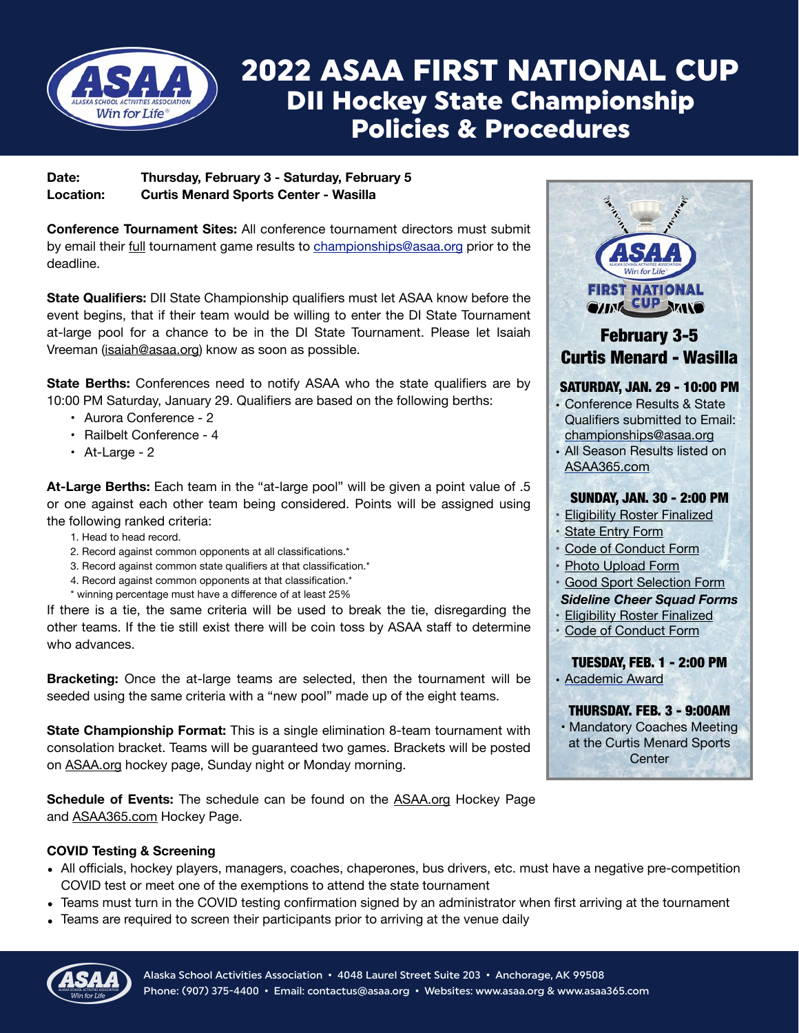

## 2022 ASAA FIRST NATIONAL CUP DII Hockey State Championship Policies & Procedures

## **Date: Thursday, February 3 - Saturday, February 5 Location: Curtis Menard Sports Center - Wasilla**

**Conference Tournament Sites:** All conference tournament directors must submit by email their full tournament game results to [championships@asaa.org](mailto:championships@asaa.org) prior to the deadline.

**State Qualifiers:** DII State Championship qualifiers must let ASAA know before the event begins, that if their team would be willing to enter the DI State Tournament at-large pool for a chance to be in the DI State Tournament. Please let Isaiah Vreeman [\(isaiah@asaa.org\)](mailto:isaiah@asaa.org) know as soon as possible.

**State Berths:** Conferences need to notify ASAA who the state qualifiers are by 10:00 PM Saturday, January 29. Qualifiers are based on the following berths:

- Aurora Conference 2
- Railbelt Conference 4
- At-Large 2

**At-Large Berths:** Each team in the "at-large pool" will be given a point value of .5 or one against each other team being considered. Points will be assigned using the following ranked criteria:

- 1. Head to head record.
- 2. Record against common opponents at all classifications.\*
- 3. Record against common state qualifiers at that classification.\*
- 4. Record against common opponents at that classification.\*
- \* winning percentage must have a difference of at least 25%

If there is a tie, the same criteria will be used to break the tie, disregarding the other teams. If the tie still exist there will be coin toss by ASAA staff to determine who advances.

**Bracketing:** Once the at-large teams are selected, then the tournament will be seeded using the same criteria with a "new pool" made up of the eight teams.

**State Championship Format:** This is a single elimination 8-team tournament with consolation bracket. Teams will be guaranteed two games. Brackets will be posted on [ASAA.org](http://ASAA.org) hockey page, Sunday night or Monday morning.

**Schedule of Events:** The schedule can be found on the [ASAA.org](http://ASAA.org) Hockey Page and [ASAA365.com](http://ASAA365.com) Hockey Page.

## **COVID Testing & Screening**

- All officials, hockey players, managers, coaches, chaperones, bus drivers, etc. must have a negative pre-competition COVID test or meet one of the exemptions to attend the state tournament
- Teams must turn in the COVID testing confirmation signed by an administrator when first arriving at the tournament
- Teams are required to screen their participants prior to arriving at the venue daily



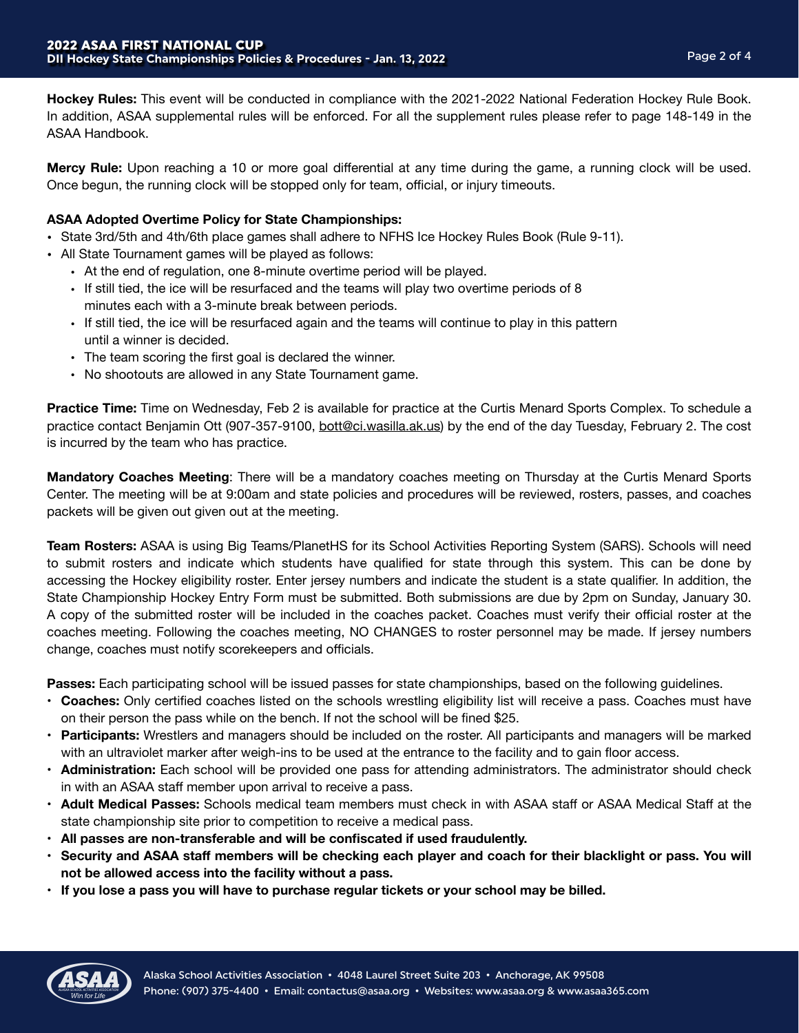**Hockey Rules:** This event will be conducted in compliance with the 2021-2022 National Federation Hockey Rule Book. In addition, ASAA supplemental rules will be enforced. For all the supplement rules please refer to page 148-149 in the ASAA Handbook.

**Mercy Rule:** Upon reaching a 10 or more goal differential at any time during the game, a running clock will be used. Once begun, the running clock will be stopped only for team, official, or injury timeouts.

## **ASAA Adopted Overtime Policy for State Championships:**

- State 3rd/5th and 4th/6th place games shall adhere to NFHS Ice Hockey Rules Book (Rule 9-11).
- All State Tournament games will be played as follows:
	- At the end of regulation, one 8-minute overtime period will be played.
	- If still tied, the ice will be resurfaced and the teams will play two overtime periods of 8 minutes each with a 3-minute break between periods.
	- If still tied, the ice will be resurfaced again and the teams will continue to play in this pattern until a winner is decided.
	- The team scoring the first goal is declared the winner.
	- No shootouts are allowed in any State Tournament game.

**Practice Time:** Time on Wednesday, Feb 2 is available for practice at the Curtis Menard Sports Complex. To schedule a practice contact Benjamin Ott (907-357-9100, [bott@ci.wasilla.ak.us\)](mailto:bott@ci.wasilla.ak.us) by the end of the day Tuesday, February 2. The cost is incurred by the team who has practice.

**Mandatory Coaches Meeting**: There will be a mandatory coaches meeting on Thursday at the Curtis Menard Sports Center. The meeting will be at 9:00am and state policies and procedures will be reviewed, rosters, passes, and coaches packets will be given out given out at the meeting.

**Team Rosters:** ASAA is using Big Teams/PlanetHS for its School Activities Reporting System (SARS). Schools will need to submit rosters and indicate which students have qualified for state through this system. This can be done by accessing the Hockey eligibility roster. Enter jersey numbers and indicate the student is a state qualifier. In addition, the State Championship Hockey Entry Form must be submitted. Both submissions are due by 2pm on Sunday, January 30. A copy of the submitted roster will be included in the coaches packet. Coaches must verify their official roster at the coaches meeting. Following the coaches meeting, NO CHANGES to roster personnel may be made. If jersey numbers change, coaches must notify scorekeepers and officials.

**Passes:** Each participating school will be issued passes for state championships, based on the following guidelines.

- **Coaches:** Only certified coaches listed on the schools wrestling eligibility list will receive a pass. Coaches must have on their person the pass while on the bench. If not the school will be fined \$25.
- **Participants:** Wrestlers and managers should be included on the roster. All participants and managers will be marked with an ultraviolet marker after weigh-ins to be used at the entrance to the facility and to gain floor access.
- **Administration:** Each school will be provided one pass for attending administrators. The administrator should check in with an ASAA staff member upon arrival to receive a pass.
- **Adult Medical Passes:** Schools medical team members must check in with ASAA staff or ASAA Medical Staff at the state championship site prior to competition to receive a medical pass.
- **• All passes are non-transferable and will be confiscated if used fraudulently.**
- **• Security and ASAA staff members will be checking each player and coach for their blacklight or pass. You will not be allowed access into the facility without a pass.**
- **• If you lose a pass you will have to purchase regular tickets or your school may be billed.**

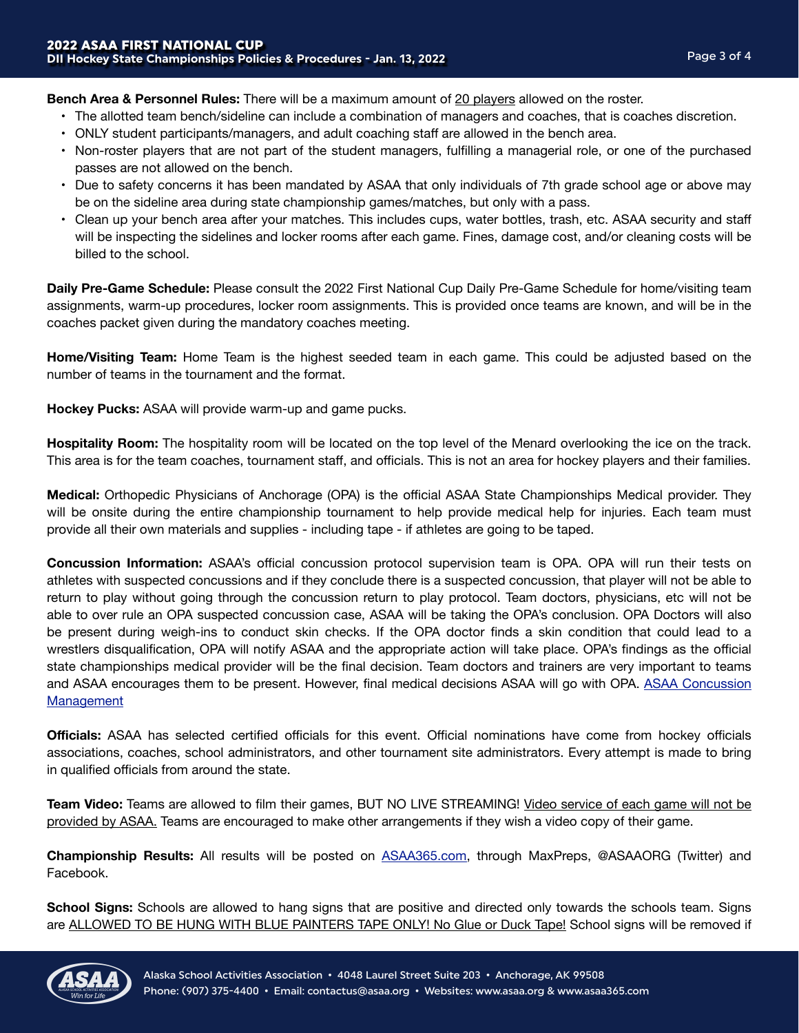**Bench Area & Personnel Rules:** There will be a maximum amount of 20 players allowed on the roster.

- The allotted team bench/sideline can include a combination of managers and coaches, that is coaches discretion.
- ONLY student participants/managers, and adult coaching staff are allowed in the bench area.
- Non-roster players that are not part of the student managers, fulfilling a managerial role, or one of the purchased passes are not allowed on the bench.
- Due to safety concerns it has been mandated by ASAA that only individuals of 7th grade school age or above may be on the sideline area during state championship games/matches, but only with a pass.
- Clean up your bench area after your matches. This includes cups, water bottles, trash, etc. ASAA security and staff will be inspecting the sidelines and locker rooms after each game. Fines, damage cost, and/or cleaning costs will be billed to the school.

**Daily Pre-Game Schedule:** Please consult the 2022 First National Cup Daily Pre-Game Schedule for home/visiting team assignments, warm-up procedures, locker room assignments. This is provided once teams are known, and will be in the coaches packet given during the mandatory coaches meeting.

**Home/Visiting Team:** Home Team is the highest seeded team in each game. This could be adjusted based on the number of teams in the tournament and the format.

**Hockey Pucks:** ASAA will provide warm-up and game pucks.

**Hospitality Room:** The hospitality room will be located on the top level of the Menard overlooking the ice on the track. This area is for the team coaches, tournament staff, and officials. This is not an area for hockey players and their families.

**Medical:** Orthopedic Physicians of Anchorage (OPA) is the official ASAA State Championships Medical provider. They will be onsite during the entire championship tournament to help provide medical help for injuries. Each team must provide all their own materials and supplies - including tape - if athletes are going to be taped.

**Concussion Information:** ASAA's official concussion protocol supervision team is OPA. OPA will run their tests on athletes with suspected concussions and if they conclude there is a suspected concussion, that player will not be able to return to play without going through the concussion return to play protocol. Team doctors, physicians, etc will not be able to over rule an OPA suspected concussion case, ASAA will be taking the OPA's conclusion. OPA Doctors will also be present during weigh-ins to conduct skin checks. If the OPA doctor finds a skin condition that could lead to a wrestlers disqualification, OPA will notify ASAA and the appropriate action will take place. OPA's findings as the official state championships medical provider will be the final decision. Team doctors and trainers are very important to teams and ASAA encourages them to be present. However, final medical decisions ASAA will go with OPA. [ASAA Concussion](http://asaa.org/resources/sports-medicine/concussion-management/) [Management](http://asaa.org/resources/sports-medicine/concussion-management/)

**Officials:** ASAA has selected certified officials for this event. Official nominations have come from hockey officials associations, coaches, school administrators, and other tournament site administrators. Every attempt is made to bring in qualified officials from around the state.

**Team Video:** Teams are allowed to film their games, BUT NO LIVE STREAMING! Video service of each game will not be provided by ASAA. Teams are encouraged to make other arrangements if they wish a video copy of their game.

**Championship Results:** All results will be posted on [ASAA365.com,](http://ASAA365.com) through MaxPreps, @ASAAORG (Twitter) and Facebook.

**School Signs:** Schools are allowed to hang signs that are positive and directed only towards the schools team. Signs are ALLOWED TO BE HUNG WITH BLUE PAINTERS TAPE ONLY! No Glue or Duck Tape! School signs will be removed if